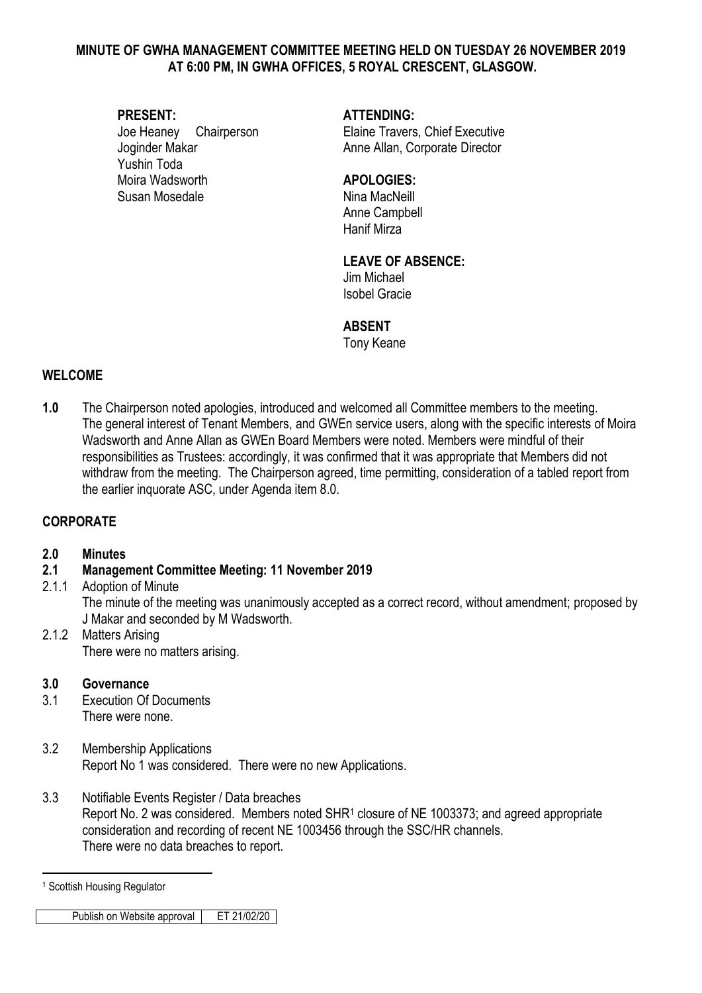#### **MINUTE OF GWHA MANAGEMENT COMMITTEE MEETING HELD ON TUESDAY 26 NOVEMBER 2019 AT 6:00 PM, IN GWHA OFFICES, 5 ROYAL CRESCENT, GLASGOW.**

# **PRESENT: ATTENDING:** Joginder Makar **Anne Allan, Corporate Director** Anne Allan, Corporate Director Yushin Toda Moira Wadsworth **APOLOGIES:** Susan Mosedale Nina MacNeill

Joe Heaney Chairperson Elaine Travers, Chief Executive

Anne Campbell Hanif Mirza

# **LEAVE OF ABSENCE:**

Jim Michael Isobel Gracie

## **ABSENT**

Tony Keane

# **WELCOME**

**1.0** The Chairperson noted apologies, introduced and welcomed all Committee members to the meeting. The general interest of Tenant Members, and GWEn service users, along with the specific interests of Moira Wadsworth and Anne Allan as GWEn Board Members were noted. Members were mindful of their responsibilities as Trustees: accordingly, it was confirmed that it was appropriate that Members did not withdraw from the meeting. The Chairperson agreed, time permitting, consideration of a tabled report from the earlier inquorate ASC, under Agenda item 8.0.

# **CORPORATE**

#### **2.0 Minutes**

- **2.1 Management Committee Meeting: 11 November 2019**
- 2.1.1 Adoption of Minute The minute of the meeting was unanimously accepted as a correct record, without amendment; proposed by J Makar and seconded by M Wadsworth.
- 2.1.2 Matters Arising There were no matters arising.

#### **3.0 Governance**

- 3.1 Execution Of Documents There were none.
- 3.2 Membership Applications Report No 1 was considered. There were no new Applications.
- 3.3 Notifiable Events Register / Data breaches Report No. 2 was considered. Members noted SHR<sup>1</sup> closure of NE 1003373; and agreed appropriate consideration and recording of recent NE 1003456 through the SSC/HR channels. There were no data breaches to report.

1

Publish on Website approval FET 21/02/20

<sup>1</sup> Scottish Housing Regulator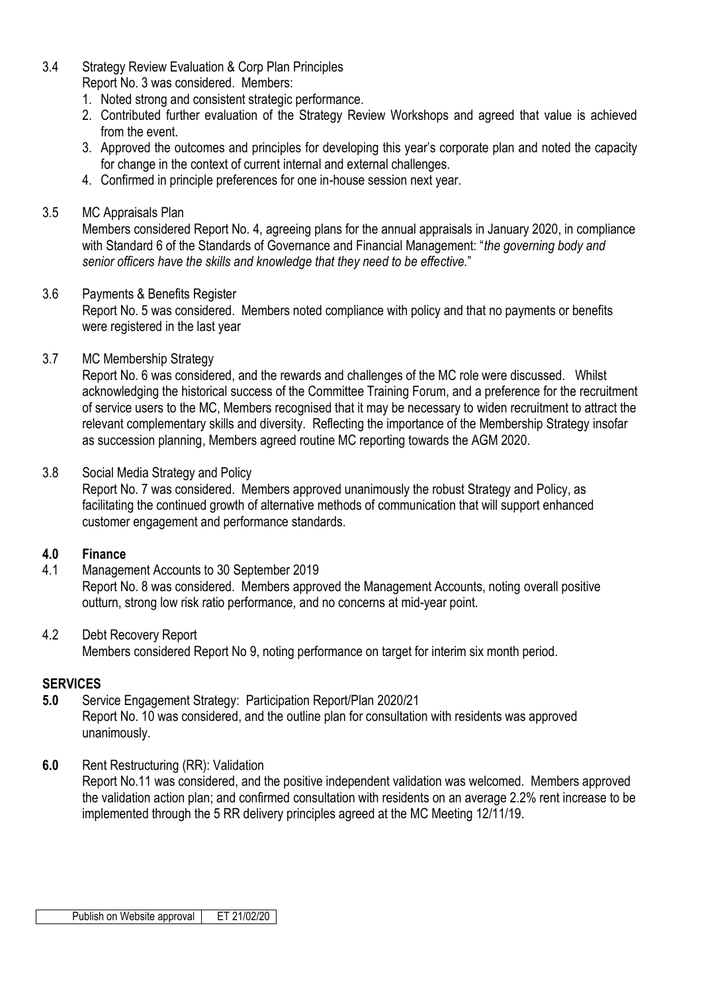- 3.4 Strategy Review Evaluation & Corp Plan Principles Report No. 3 was considered. Members:
	- 1. Noted strong and consistent strategic performance.
	- 2. Contributed further evaluation of the Strategy Review Workshops and agreed that value is achieved from the event.
	- 3. Approved the outcomes and principles for developing this year's corporate plan and noted the capacity for change in the context of current internal and external challenges.
	- 4. Confirmed in principle preferences for one in-house session next year.

#### 3.5 MC Appraisals Plan

Members considered Report No. 4, agreeing plans for the annual appraisals in January 2020, in compliance with Standard 6 of the Standards of Governance and Financial Management: "*the governing body and senior officers have the skills and knowledge that they need to be effective.*"

## 3.6 Payments & Benefits Register

Report No. 5 was considered. Members noted compliance with policy and that no payments or benefits were registered in the last year

## 3.7 MC Membership Strategy

Report No. 6 was considered, and the rewards and challenges of the MC role were discussed. Whilst acknowledging the historical success of the Committee Training Forum, and a preference for the recruitment of service users to the MC, Members recognised that it may be necessary to widen recruitment to attract the relevant complementary skills and diversity. Reflecting the importance of the Membership Strategy insofar as succession planning, Members agreed routine MC reporting towards the AGM 2020.

#### 3.8 Social Media Strategy and Policy

Report No. 7 was considered. Members approved unanimously the robust Strategy and Policy, as facilitating the continued growth of alternative methods of communication that will support enhanced customer engagement and performance standards.

#### **4.0 Finance**

4.1 Management Accounts to 30 September 2019

Report No. 8 was considered. Members approved the Management Accounts, noting overall positive outturn, strong low risk ratio performance, and no concerns at mid-year point.

#### 4.2 Debt Recovery Report Members considered Report No 9, noting performance on target for interim six month period.

#### **SERVICES**

- **5.0** Service Engagement Strategy: Participation Report/Plan 2020/21 Report No. 10 was considered, and the outline plan for consultation with residents was approved unanimously.
- **6.0** Rent Restructuring (RR): Validation

Report No.11 was considered, and the positive independent validation was welcomed. Members approved the validation action plan; and confirmed consultation with residents on an average 2.2% rent increase to be implemented through the 5 RR delivery principles agreed at the MC Meeting 12/11/19.